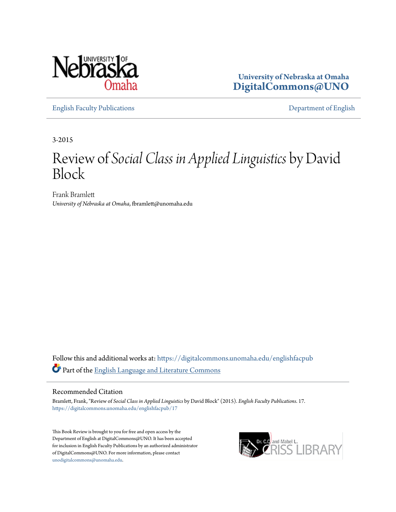

**University of Nebraska at Omaha [DigitalCommons@UNO](https://digitalcommons.unomaha.edu?utm_source=digitalcommons.unomaha.edu%2Fenglishfacpub%2F17&utm_medium=PDF&utm_campaign=PDFCoverPages)**

[English Faculty Publications](https://digitalcommons.unomaha.edu/englishfacpub?utm_source=digitalcommons.unomaha.edu%2Fenglishfacpub%2F17&utm_medium=PDF&utm_campaign=PDFCoverPages) [Department of English](https://digitalcommons.unomaha.edu/english?utm_source=digitalcommons.unomaha.edu%2Fenglishfacpub%2F17&utm_medium=PDF&utm_campaign=PDFCoverPages)

3-2015

## Review of *Social Class in Applied Linguistics* by David Block

Frank Bramlett *University of Nebraska at Omaha*, fbramlett@unomaha.edu

Follow this and additional works at: [https://digitalcommons.unomaha.edu/englishfacpub](https://digitalcommons.unomaha.edu/englishfacpub?utm_source=digitalcommons.unomaha.edu%2Fenglishfacpub%2F17&utm_medium=PDF&utm_campaign=PDFCoverPages) Part of the [English Language and Literature Commons](http://network.bepress.com/hgg/discipline/455?utm_source=digitalcommons.unomaha.edu%2Fenglishfacpub%2F17&utm_medium=PDF&utm_campaign=PDFCoverPages)

## Recommended Citation

Bramlett, Frank, "Review of *Social Class in Applied Linguistics* by David Block" (2015). *English Faculty Publications*. 17. [https://digitalcommons.unomaha.edu/englishfacpub/17](https://digitalcommons.unomaha.edu/englishfacpub/17?utm_source=digitalcommons.unomaha.edu%2Fenglishfacpub%2F17&utm_medium=PDF&utm_campaign=PDFCoverPages)

This Book Review is brought to you for free and open access by the Department of English at DigitalCommons@UNO. It has been accepted for inclusion in English Faculty Publications by an authorized administrator of DigitalCommons@UNO. For more information, please contact [unodigitalcommons@unomaha.edu](mailto:unodigitalcommons@unomaha.edu).

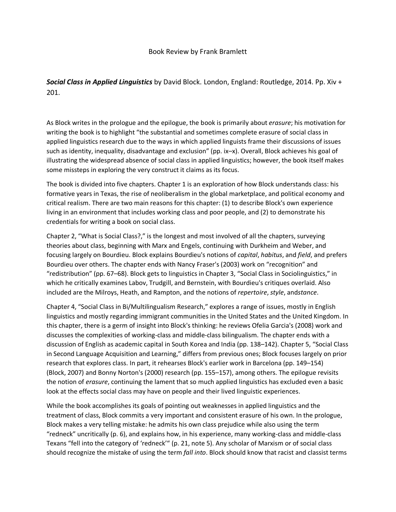*Social Class in Applied Linguistics* by David Block. London, England: Routledge, 2014. Pp. Xiv + 201.

As Block writes in the prologue and the epilogue, the book is primarily about *erasure*; his motivation for writing the book is to highlight "the substantial and sometimes complete erasure of social class in applied linguistics research due to the ways in which applied linguists frame their discussions of issues such as identity, inequality, disadvantage and exclusion" (pp. ix-x). Overall, Block achieves his goal of illustrating the widespread absence of social class in applied linguistics; however, the book itself makes some missteps in exploring the very construct it claims as its focus.

The book is divided into five chapters. Chapter 1 is an exploration of how Block understands class: his formative years in Texas, the rise of neoliberalism in the global marketplace, and political economy and critical realism. There are two main reasons for this chapter: (1) to describe Block's own experience living in an environment that includes working class and poor people, and (2) to demonstrate his credentials for writing a book on social class.

Chapter 2, "What is Social Class?," is the longest and most involved of all the chapters, surveying theories about class, beginning with Marx and Engels, continuing with Durkheim and Weber, and focusing largely on Bourdieu. Block explains Bourdieu's notions of *capital*, *habitus*, and *field*, and prefers Bourdieu over others. The chapter ends with Nancy Fraser's (2003) work on "recognition" and "redistribution" (pp. 67–68). Block gets to linguistics in Chapter 3, "Social Class in Sociolinguistics," in which he critically examines Labov, Trudgill, and Bernstein, with Bourdieu's critiques overlaid. Also included are the Milroys, Heath, and Rampton, and the notions of *repertoire*, *style*, and*stance*.

Chapter 4, "Social Class in Bi/Multilingualism Research," explores a range of issues, mostly in English linguistics and mostly regarding immigrant communities in the United States and the United Kingdom. In this chapter, there is a germ of insight into Block's thinking: he reviews Ofelia Garcia's (2008) work and discusses the complexities of working-class and middle-class bilingualism. The chapter ends with a discussion of English as academic capital in South Korea and India (pp. 138–142). Chapter 5, "Social Class in Second Language Acquisition and Learning," differs from previous ones; Block focuses largely on prior research that explores class. In part, it rehearses Block's earlier work in Barcelona (pp. 149–154) (Block, 2007) and Bonny Norton's (2000) research (pp. 155–157), among others. The epilogue revisits the notion of *erasure*, continuing the lament that so much applied linguistics has excluded even a basic look at the effects social class may have on people and their lived linguistic experiences.

While the book accomplishes its goals of pointing out weaknesses in applied linguistics and the treatment of class, Block commits a very important and consistent erasure of his own. In the prologue, Block makes a very telling mistake: he admits his own class prejudice while also using the term "redneck" uncritically (p. 6), and explains how, in his experience, many working-class and middle-class Texans "fell into the category of 'redneck'" (p. 21, note 5). Any scholar of Marxism or of social class should recognize the mistake of using the term *fall into*. Block should know that racist and classist terms